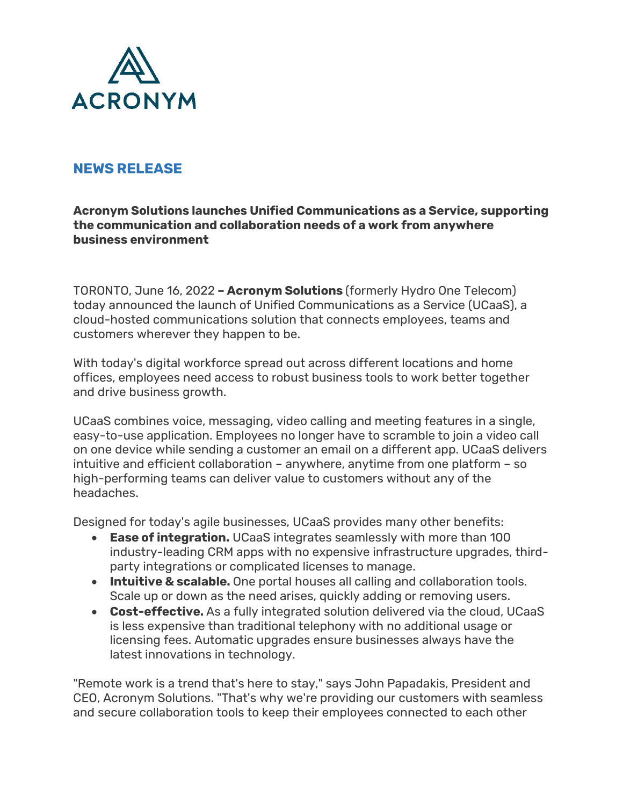

## **NEWS RELEASE**

**Acronym Solutions launches Unified Communications as a Service, supporting the communication and collaboration needs of a work from anywhere business environment**

TORONTO, June 16, 2022 **– Acronym Solutions** (formerly Hydro One Telecom) today announced the launch of Unified Communications as a Service (UCaaS), a cloud-hosted communications solution that connects employees, teams and customers wherever they happen to be.

With today's digital workforce spread out across different locations and home offices, employees need access to robust business tools to work better together and drive business growth.

UCaaS combines voice, messaging, video calling and meeting features in a single, easy-to-use application. Employees no longer have to scramble to join a video call on one device while sending a customer an email on a different app. UCaaS delivers intuitive and efficient collaboration – anywhere, anytime from one platform – so high-performing teams can deliver value to customers without any of the headaches.

Designed for today's agile businesses, UCaaS provides many other benefits:

- **Ease of integration.** UCaaS integrates seamlessly with more than 100 industry-leading CRM apps with no expensive infrastructure upgrades, thirdparty integrations or complicated licenses to manage.
- **Intuitive & scalable.** One portal houses all calling and collaboration tools. Scale up or down as the need arises, quickly adding or removing users.
- **Cost-effective.** As a fully integrated solution delivered via the cloud, UCaaS is less expensive than traditional telephony with no additional usage or licensing fees. Automatic upgrades ensure businesses always have the latest innovations in technology.

"Remote work is a trend that's here to stay," says John Papadakis, President and CEO, Acronym Solutions. "That's why we're providing our customers with seamless and secure collaboration tools to keep their employees connected to each other